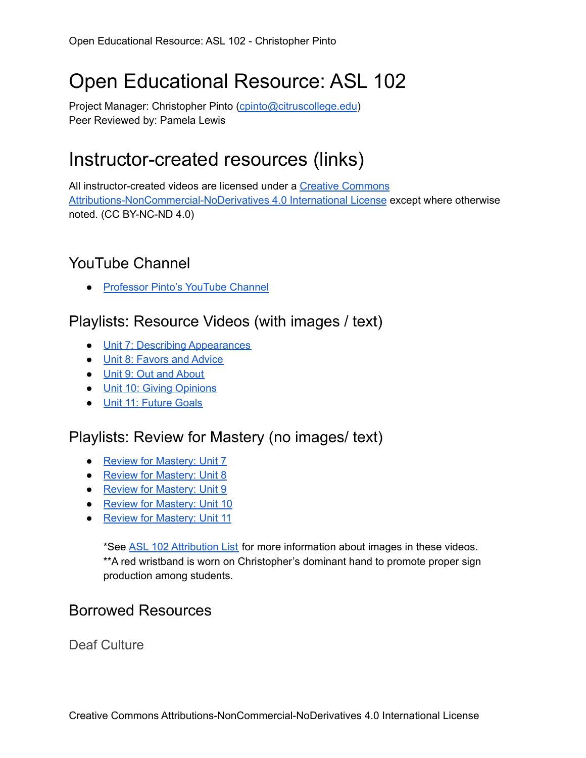# Open Educational Resource: ASL 102

Project Manager: Christopher Pinto [\(cpinto@citruscollege.edu](mailto:cpinto@citruscollege.edu)) Peer Reviewed by: Pamela Lewis

## Instructor-created resources (links)

All instructor-created videos are licensed under a Creative [Commons](https://creativecommons.org/licenses/by-nc-nd/4.0/) [Attributions-NonCommercial-NoDerivatives](https://creativecommons.org/licenses/by-nc-nd/4.0/) 4.0 International License except where otherwise noted. (CC BY-NC-ND 4.0)

#### YouTube Channel

● [Professor](https://www.youtube.com/channel/UCGLWXqFeb-Jz_inRo1qnCbA/featured) Pinto's YouTube Channel

#### Playlists: Resource Videos (with images / text)

- Unit 7: Describing [Appearances](https://youtube.com/playlist?list=PL9jlyLZheYIzZ2dzv0NNpnTt_oBSxa4md)
- Unit 8: [Favors](https://youtube.com/playlist?list=PL9jlyLZheYIwzeLvV7xM_79fEcpmPtpAj) and Advice
- Unit 9: Out and [About](https://youtube.com/playlist?list=PL9jlyLZheYIwGsZG3E5RboWJkTNhJWTgQ)
- Unit 10: Giving [Opinions](https://youtube.com/playlist?list=PL9jlyLZheYIyF5ebcWS1Gn8cHO0Tr8Jb_)
- Unit 11: [Future](https://youtube.com/playlist?list=PL9jlyLZheYIzodYnuvSBkT7JaG7A2_MXQ) Goals

## Playlists: Review for Mastery (no images/ text)

- Review for [Mastery:](https://youtube.com/playlist?list=PL9jlyLZheYIztEtNJH1-rvl5PbCkQ_ilF) Unit 7
- Review for [Mastery:](https://youtube.com/playlist?list=PL9jlyLZheYIwPo8x33PjrCjCDdoc7lVmg) Unit 8
- Review for [Mastery:](https://youtube.com/playlist?list=PL9jlyLZheYIyT7NuACveRmMf8B2ormyRq) Unit 9
- Review for [Mastery:](https://youtube.com/playlist?list=PL9jlyLZheYIxOT_alw9b5b5Bmc4t8uBog) Unit 10
- Review for [Mastery:](https://youtube.com/playlist?list=PL9jlyLZheYIz1mxc56E2AkAtU1fA7vu2b) Unit 11

\*See ASL 102 [Attribution](https://docs.google.com/spreadsheets/d/1iXIc7IeXJTFNtgTNwLEYMq5nQ35n6FfZiOi-oxwhtjw/edit#gid=0) List for more information about images in these videos. \*\*A red wristband is worn on Christopher's dominant hand to promote proper sign production among students.

#### Borrowed Resources

Deaf Culture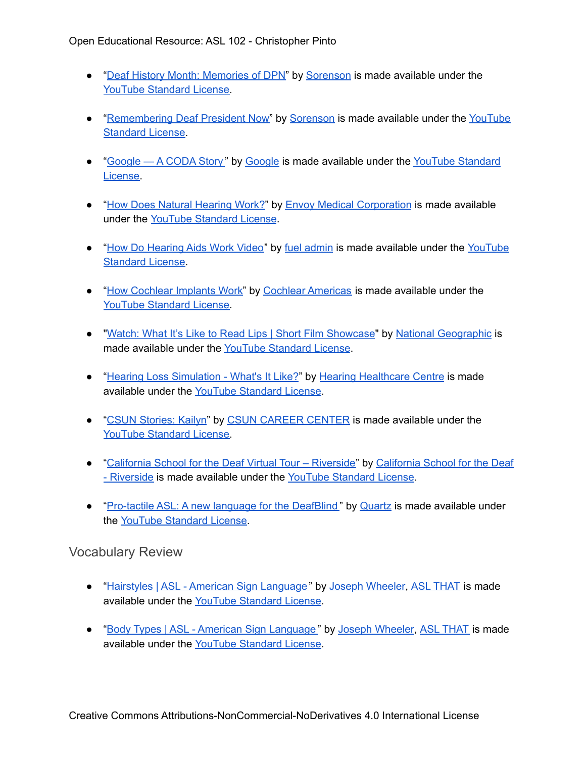- "Deaf History Month: [Memories](https://www.youtube.com/watch?v=qjl3Y2V5jw8) of DPN" by [Sorenson](https://www.youtube.com/channel/UCERH7awdY3M-n5otvzurJkg) is made available under the YouTube [Standard](https://www.youtube.com/static?template=terms) License.
- "[Remembering](https://www.youtube.com/watch?v=S63Fe1UxNpI) Deaf President Now" by [Sorenson](https://www.youtube.com/channel/UCERH7awdY3M-n5otvzurJkg) is made available under the [YouTube](https://www.youtube.com/static?template=terms) [Standard](https://www.youtube.com/static?template=terms) License.
- "[Google](https://www.youtube.com/channel/UCK8sQmJBp8GCxrOtXWBpyEA) A CODA Story" by Google is made available under the YouTube [Standard](https://www.youtube.com/static?template=terms) [License.](https://www.youtube.com/static?template=terms)
- "How Does Natural [Hearing](https://www.youtube.com/watch?v=stiPMLtjYAw) Work?" by Envoy Medical [Corporation](https://www.youtube.com/channel/UCfTrsibzDEED3OEaaXiu5vQ) is made available under the YouTube [Standard](https://www.youtube.com/static?template=terms) License.
- "How Do [Hearing](https://www.youtube.com/watch?v=AxzVyMcmRcs) Aids Work Video" by fuel [admin](https://www.youtube.com/channel/UCFB5UXA3gTe9DB1BFoN8WYQ) is made available under the [YouTube](https://www.youtube.com/static?template=terms) [Standard](https://www.youtube.com/static?template=terms) License.
- "How [Cochlear](https://www.youtube.com/watch?v=Vm0nZH9RahE) Implants Work" by Cochlear [Americas](https://www.youtube.com/channel/UCRoPbXCxqfkqR1oBTPKgx0Q) is made available under the YouTube [Standard](https://www.youtube.com/static?template=terms) License.
- "Watch: What It's Like to Read Lips | Short Film [Showcase](https://www.youtube.com/watch?v=n1jLkYyODsc)" by National [Geographic](https://www.youtube.com/channel/UCpVm7bg6pXKo1Pr6k5kxG9A) is made available under the YouTube [Standard](https://www.youtube.com/static?template=terms) License.
- "Hearing Loss [Simulation](https://www.youtube.com/watch?v=PbBZjT7nuoA) What's It Like?" by Hearing [Healthcare](https://www.youtube.com/channel/UC4gPjuUe0L34BzWfoHo9wWg) Centre is made available under the YouTube [Standard](https://www.youtube.com/static?template=terms) License.
- "CSUN [Stories:](https://www.youtube.com/watch?v=aA8EDQgAiYw) Kailyn" by CSUN [CAREER](https://www.youtube.com/channel/UCraPawCHJloK10Ys2EygwUA) CENTER is made available under the YouTube [Standard](https://www.youtube.com/static?template=terms) License.
- "California School for the Deaf Virtual Tour [Riverside"](https://www.youtube.com/watch?v=lXjUCrliEgE) by [California](https://www.youtube.com/channel/UCHAeH9n41nDpCYBEdo_Yonw) School for the Deaf - [Riverside](https://www.youtube.com/channel/UCHAeH9n41nDpCYBEdo_Yonw) is made available under the YouTube [Standard](https://www.youtube.com/static?template=terms) License.
- "[Pro-tactile](https://www.youtube.com/watch?v=9GrK3P15TYU) ASL: A new language for the DeafBlind" by [Quartz](https://www.youtube.com/channel/UC9f78Z5hgtDt0n8JWyfBk8Q) is made available under the YouTube [Standard](https://www.youtube.com/static?template=terms) License.

#### Vocabulary Review

- "Hairstyles | ASL American Sign [Language](https://youtu.be/BxqcmaZIK9E) " by Joseph [Wheeler,](https://www.youtube.com/watch?v=5CA7kIQbLN8) ASL [THAT](https://www.youtube.com/user/chsasl/featured) is made available under the YouTube [Standard](https://www.youtube.com/static?template=terms) License.
- "Body Types | ASL American Sign [Language](https://youtu.be/a5IkcDdUxwQ) " by Joseph [Wheeler,](https://www.youtube.com/watch?v=5CA7kIQbLN8) ASL [THAT](https://www.youtube.com/user/chsasl/featured) is made available under the YouTube [Standard](https://www.youtube.com/static?template=terms) License.